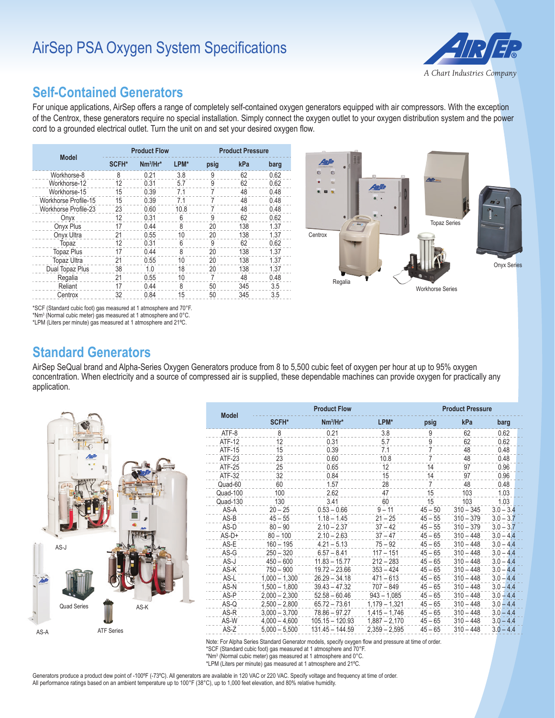# AirSep PSA Oxygen System Specifications



#### **Self-Contained Generators**

For unique applications, AirSep offers a range of completely self-contained oxygen generators equipped with air compressors. With the exception of the Centrox, these generators require no special installation. Simply connect the oxygen outlet to your oxygen distribution system and the power cord to a grounded electrical outlet. Turn the unit on and set your desired oxygen flow.

| <b>Model</b>                | <b>Product Flow</b> |             |      | <b>Product Pressure</b> |     |      |
|-----------------------------|---------------------|-------------|------|-------------------------|-----|------|
|                             | SCFH*               | $Nm^3/Hr^*$ | LPM* | psig                    | kPa | barg |
| Workhorse-8                 | 8                   | 0.21        | 3.8  | 9                       | 62  | 0.62 |
| Workhorse-12                | 12                  | 0.31        | 5.7  | 9                       | 62  | 0.62 |
| Workhorse-15                | 15                  | 0.39        | 7.1  | 7                       | 48  | 0.48 |
| <b>Workhorse Profile-15</b> | 15                  | 0.39        | 71   | 7                       | 48  | 0.48 |
| <b>Workhorse Profile-23</b> | 23                  | 0.60        | 10.8 | 7                       | 48  | 0.48 |
| Onyx                        | 12                  | 0.31        | 6    | 9                       | 62  | 0.62 |
| Onyx Plus                   | 17                  | 0.44        | 8    | 20                      | 138 | 1.37 |
| Onyx Ultra                  | 21                  | 0.55        | 10   | 20                      | 138 | 1.37 |
| Topaz                       | 12                  | 0.31        | 6    | 9                       | 62  | 0.62 |
| <b>Topaz Plus</b>           | 17                  | 0.44        | 8    | 20                      | 138 | 1.37 |
| <b>Topaz Ultra</b>          | 21                  | 0.55        | 10   | 20                      | 138 | 1.37 |
| Dual Topaz Plus             | 38                  | 1.0         | 18   | 20                      | 138 | 1.37 |
| Regalia                     | 21                  | 0.55        | 10   | 7                       | 48  | 0.48 |
| Reliant                     | 17                  | 0.44        | 8    | 50                      | 345 | 3.5  |
| Centrox                     | 32                  | 0.84        | 15   | 50                      | 345 | 3.5  |



\*SCF (Standard cubic foot) gas measured at 1 atmosphere and 70°F.

 $*$ Nm<sup>3</sup> (Normal cubic meter) gas measured at 1 atmosphere and  $0^{\circ}$ C. \*LPM (Liters per minute) gas measured at 1 atmosphere and 21ºC.

**Standard Generators**

AirSep SeQual brand and Alpha-Series Oxygen Generators produce from 8 to 5,500 cubic feet of oxygen per hour at up to 95% oxygen concentration. When electricity and a source of compressed air is supplied, these dependable machines can provide oxygen for practically any application.



| <b>Product Flow</b><br><b>Model</b> |                 |                   |                 | <b>Product Pressure</b> |             |             |  |
|-------------------------------------|-----------------|-------------------|-----------------|-------------------------|-------------|-------------|--|
|                                     | SCFH*           | $Nm^3/Hr^*$       | LPM*            | psig                    | kPa         | barg        |  |
| ATF-8                               | 8               | 0.21              | 3.8             | 9                       | 62          | 0.62        |  |
| ATF-12                              | 12              | 0.31              | 5.7             | 9                       | 62          | 0.62        |  |
| <b>ATF-15</b>                       | 15              | 0.39              | 7.1             | 7                       | 48          | 0.48        |  |
| ATF-23                              | 23              | 0.60              | 10.8            | 7                       | 48          | 0.48        |  |
| ATF-25                              | 25              | 0.65              | 12              | 14                      | 97          | 0.96        |  |
| ATF-32                              | 32              | 0.84              | 15              | 14                      | 97          | 0.96        |  |
| Quad-60                             | 60              | 1.57              | 28              | 7                       | 48          | 0.48        |  |
| Quad-100                            | 100             | 2.62              | 47              | 15                      | 103         | 1.03        |  |
| Quad-130                            | 130             | 3.41              | 60              | 15                      | 103         | 1.03        |  |
| AS-A                                | $20 - 25$       | $0.53 - 0.66$     | $9 - 11$        | $45 - 50$               | $310 - 345$ | $3.0 - 3.4$ |  |
| $AS-B$                              | $45 - 55$       | $1.18 - 1.45$     | $21 - 25$       | $45 - 55$               | $310 - 379$ | $3.0 - 3.7$ |  |
| AS-D                                | $80 - 90$       | $2.10 - 2.37$     | $37 - 42$       | $45 - 55$               | $310 - 379$ | $3.0 - 3.7$ |  |
| $AS-D+$                             | $80 - 100$      | $2.10 - 2.63$     | $37 - 47$       | $45 - 65$               | $310 - 448$ | $3.0 - 4.4$ |  |
| AS-E                                | $160 - 195$     | $4.21 - 5.13$     | $75 - 92$       | $45 - 65$               | $310 - 448$ | $3.0 - 4.4$ |  |
| $AS-G$                              | $250 - 320$     | $6.57 - 8.41$     | $117 - 151$     | $45 - 65$               | $310 - 448$ | $3.0 - 4.4$ |  |
| AS-J                                | $450 - 600$     | $11.83 - 15.77$   | $212 - 283$     | $45 - 65$               | $310 - 448$ | $3.0 - 4.4$ |  |
| AS-K                                | $750 - 900$     | $19.72 - 23.66$   | $353 - 424$     | $45 - 65$               | $310 - 448$ | $3.0 - 4.4$ |  |
| AS-L                                | $1.000 - 1.300$ | $26.29 - 34.18$   | $471 - 613$     | $45 - 65$               | $310 - 448$ | $3.0 - 4.4$ |  |
| AS-N                                | $1,500 - 1,800$ | $39.43 - 47.32$   | $707 - 849$     | $45 - 65$               | $310 - 448$ | $3.0 - 4.4$ |  |
| AS-P                                | $2.000 - 2.300$ | $52.58 - 60.46$   | $943 - 1.085$   | $45 - 65$               | $310 - 448$ | $3.0 - 4.4$ |  |
| $AS-Q$                              | $2,500 - 2,800$ | $65.72 - 73.61$   | $1,179 - 1,321$ | $45 - 65$               | $310 - 448$ | $3.0 - 4.4$ |  |
| AS-R                                | $3,000 - 3,700$ | $78.86 - 97.27$   | $1,415 - 1,746$ | $45 - 65$               | $310 - 448$ | $3.0 - 4.4$ |  |
| AS-W                                | $4.000 - 4.600$ | $105.15 - 120.93$ | $1.887 - 2.170$ | $45 - 65$               | $310 - 448$ | $3.0 - 4.4$ |  |
| AS-Z                                | $5.000 - 5.500$ | $131.45 - 144.59$ | $2.359 - 2.595$ | $45 - 65$               | $310 - 448$ | $3.0 - 4.4$ |  |

Note: For Alpha Series Standard Generator models, specify oxygen flow and pressure at time of order. \*SCF (Standard cubic foot) gas measured at 1 atmosphere and 70°F. \*Nm3 (Normal cubic meter) gas measured at 1 atmosphere and 0°C.

\*LPM (Liters per minute) gas measured at 1 atmosphere and 21ºC.

Generators produce a product dew point of -100ºF (-73ºC). All generators are available in 120 VAC or 220 VAC. Specify voltage and frequency at time of order. All performance ratings based on an ambient temperature up to 100°F (38°C), up to 1,000 feet elevation, and 80% relative humidity.